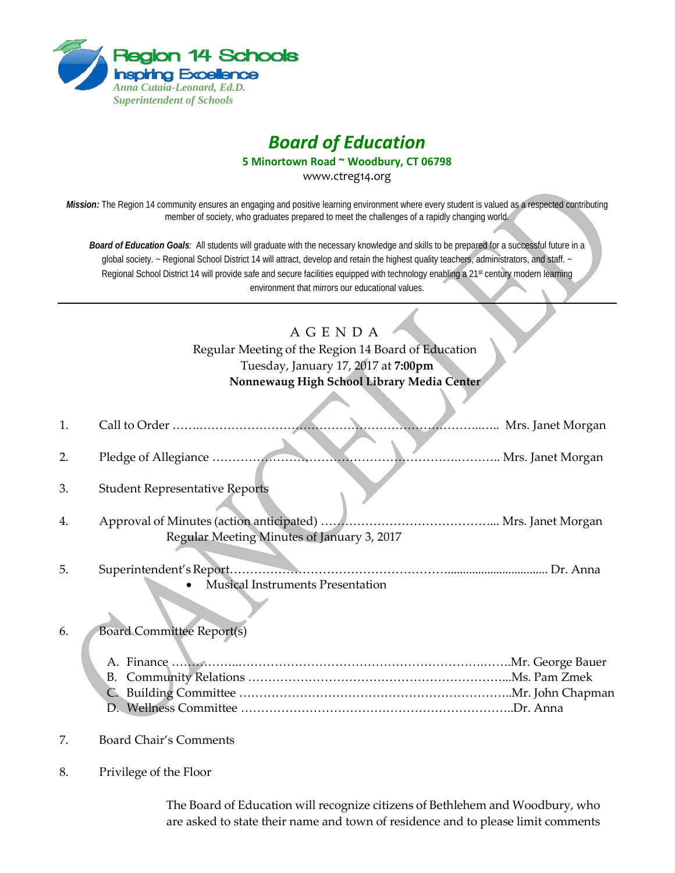

# *Board of Education*

**5 Minortown Road ~ Woodbury, CT 06798**

www.ctreg14.org

*Mission:* The Region 14 community ensures an engaging and positive learning environment where every student is valued as a respected contributing member of society, who graduates prepared to meet the challenges of a rapidly changing world.

*Board of Education Goals:* All students will graduate with the necessary knowledge and skills to be prepared for a successful future in a global society. ~ Regional School District 14 will attract, develop and retain the highest quality teachers, administrators, and staff. ~ Regional School District 14 will provide safe and secure facilities equipped with technology enabling a 21<sup>st</sup> century modern learning environment that mirrors our educational values.

## A G E N D A

Regular Meeting of the Region 14 Board of Education Tuesday, January 17, 2017 at **7:00pm Nonnewaug High School Library Media Center**

| 1. |                                                                                 |                   |
|----|---------------------------------------------------------------------------------|-------------------|
| 2. |                                                                                 | Mrs. Janet Morgan |
| 3. | <b>Student Representative Reports</b>                                           |                   |
| 4. | Regular Meeting Minutes of January 3, 2017                                      |                   |
| 5. | Dr. Anna<br>Superintendent's Report.<br><b>Musical Instruments Presentation</b> |                   |
| 6. | <b>Board Committee Report(s)</b><br>B.<br>C.                                    |                   |
| 7. | <b>Board Chair's Comments</b>                                                   |                   |
| 8. | Privilege of the Floor                                                          |                   |

The Board of Education will recognize citizens of Bethlehem and Woodbury, who are asked to state their name and town of residence and to please limit comments